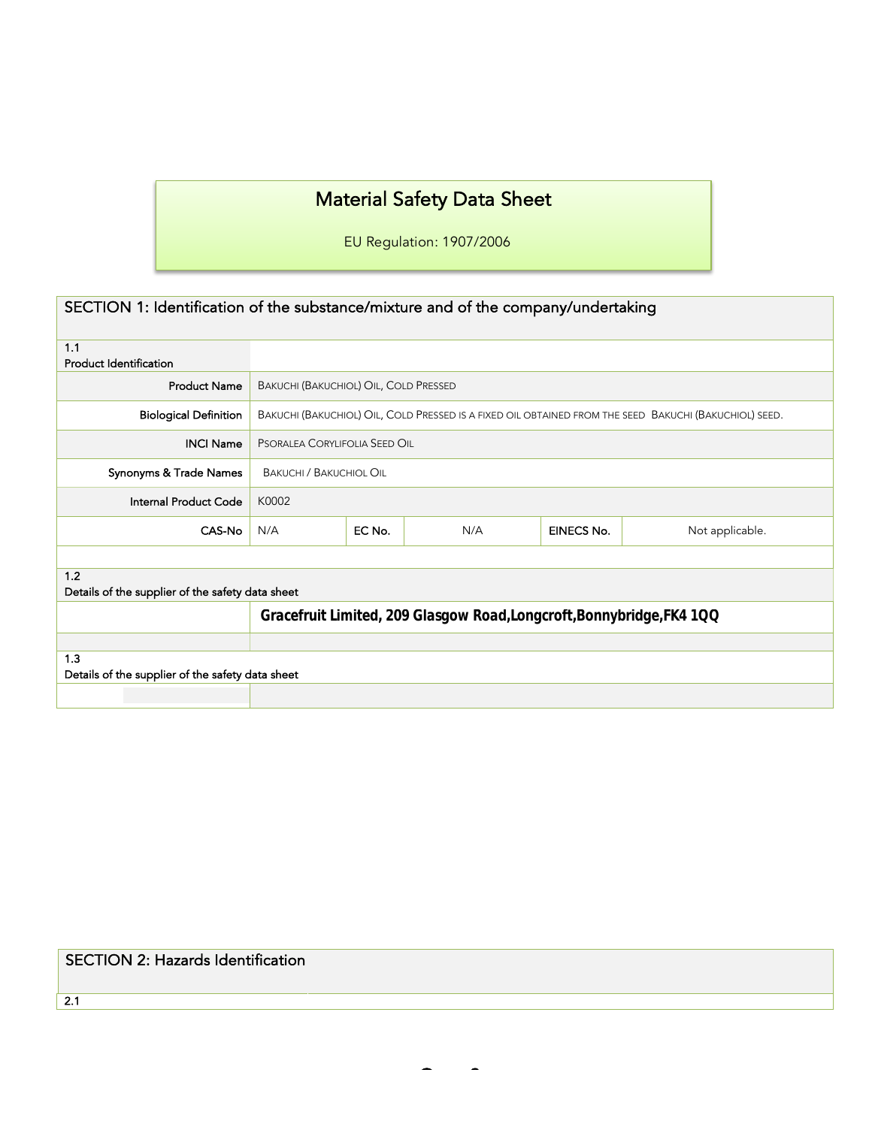# Material Safety Data Sheet

EU Regulation: 1907/2006

| SECTION 1: Identification of the substance/mixture and of the company/undertaking |                                                                                                       |        |     |                   |                 |
|-----------------------------------------------------------------------------------|-------------------------------------------------------------------------------------------------------|--------|-----|-------------------|-----------------|
| 1.1<br><b>Product Identification</b>                                              |                                                                                                       |        |     |                   |                 |
| <b>Product Name</b>                                                               | BAKUCHI (BAKUCHIOL) OIL, COLD PRESSED                                                                 |        |     |                   |                 |
| <b>Biological Definition</b>                                                      | BAKUCHI (BAKUCHIOL) OIL, COLD PRESSED IS A FIXED OIL OBTAINED FROM THE SEED BAKUCHI (BAKUCHIOL) SEED. |        |     |                   |                 |
| <b>INCI Name</b>                                                                  | PSORALEA CORYLIFOLIA SEED OIL                                                                         |        |     |                   |                 |
| Synonyms & Trade Names                                                            | <b>BAKUCHI / BAKUCHIOL OIL</b>                                                                        |        |     |                   |                 |
| Internal Product Code                                                             | K0002                                                                                                 |        |     |                   |                 |
| CAS-No                                                                            | N/A                                                                                                   | EC No. | N/A | <b>EINECS No.</b> | Not applicable. |
|                                                                                   |                                                                                                       |        |     |                   |                 |
| 1.2<br>Details of the supplier of the safety data sheet                           |                                                                                                       |        |     |                   |                 |
|                                                                                   | Gracefruit Limited, 209 Glasgow Road, Longcroft, Bonnybridge, FK4 1QQ                                 |        |     |                   |                 |
|                                                                                   |                                                                                                       |        |     |                   |                 |
| 1.3<br>Details of the supplier of the safety data sheet                           |                                                                                                       |        |     |                   |                 |
|                                                                                   |                                                                                                       |        |     |                   |                 |

### SECTION 2: Hazards Identification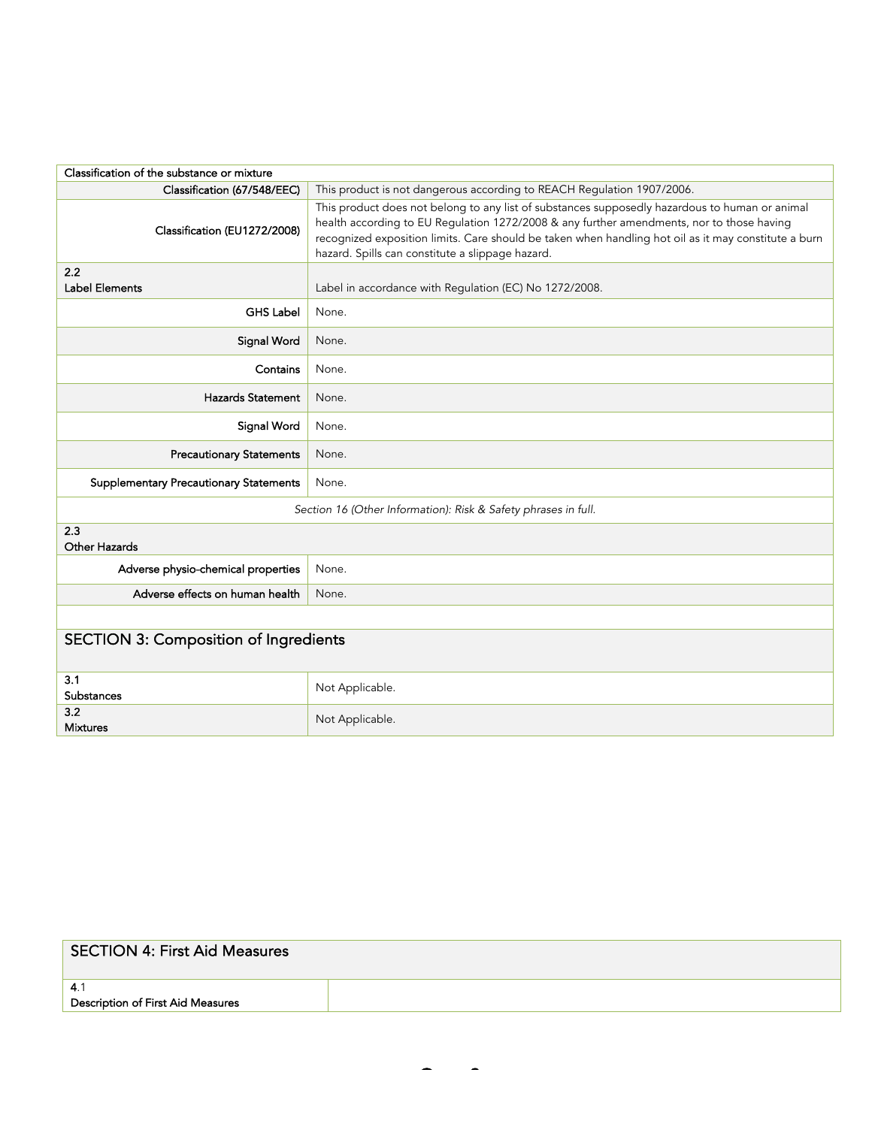| Classification of the substance or mixture                     |                                                                                                                                                                                                                                                                                                                                                         |  |
|----------------------------------------------------------------|---------------------------------------------------------------------------------------------------------------------------------------------------------------------------------------------------------------------------------------------------------------------------------------------------------------------------------------------------------|--|
| Classification (67/548/EEC)                                    | This product is not dangerous according to REACH Regulation 1907/2006.                                                                                                                                                                                                                                                                                  |  |
| Classification (EU1272/2008)                                   | This product does not belong to any list of substances supposedly hazardous to human or animal<br>health according to EU Regulation 1272/2008 & any further amendments, nor to those having<br>recognized exposition limits. Care should be taken when handling hot oil as it may constitute a burn<br>hazard. Spills can constitute a slippage hazard. |  |
| 2.2<br>Label Elements                                          | Label in accordance with Regulation (EC) No 1272/2008.                                                                                                                                                                                                                                                                                                  |  |
| <b>GHS Label</b>                                               | None.                                                                                                                                                                                                                                                                                                                                                   |  |
| Signal Word                                                    | None.                                                                                                                                                                                                                                                                                                                                                   |  |
| Contains                                                       | None.                                                                                                                                                                                                                                                                                                                                                   |  |
| <b>Hazards Statement</b>                                       | None.                                                                                                                                                                                                                                                                                                                                                   |  |
| <b>Signal Word</b>                                             | None.                                                                                                                                                                                                                                                                                                                                                   |  |
| <b>Precautionary Statements</b>                                | None.                                                                                                                                                                                                                                                                                                                                                   |  |
| <b>Supplementary Precautionary Statements</b>                  | None.                                                                                                                                                                                                                                                                                                                                                   |  |
| Section 16 (Other Information): Risk & Safety phrases in full. |                                                                                                                                                                                                                                                                                                                                                         |  |
| 2.3<br>Other Hazards                                           |                                                                                                                                                                                                                                                                                                                                                         |  |
| Adverse physio-chemical properties                             | None.                                                                                                                                                                                                                                                                                                                                                   |  |
| Adverse effects on human health                                | None.                                                                                                                                                                                                                                                                                                                                                   |  |
|                                                                |                                                                                                                                                                                                                                                                                                                                                         |  |
| <b>SECTION 3: Composition of Ingredients</b>                   |                                                                                                                                                                                                                                                                                                                                                         |  |
| 3.1<br>Substances                                              | Not Applicable.                                                                                                                                                                                                                                                                                                                                         |  |
| 3.2<br><b>Mixtures</b>                                         | Not Applicable.                                                                                                                                                                                                                                                                                                                                         |  |

| <b>SECTION 4: First Aid Measures</b> |  |
|--------------------------------------|--|
| 4.1                                  |  |
| Description of First Aid Measures    |  |
|                                      |  |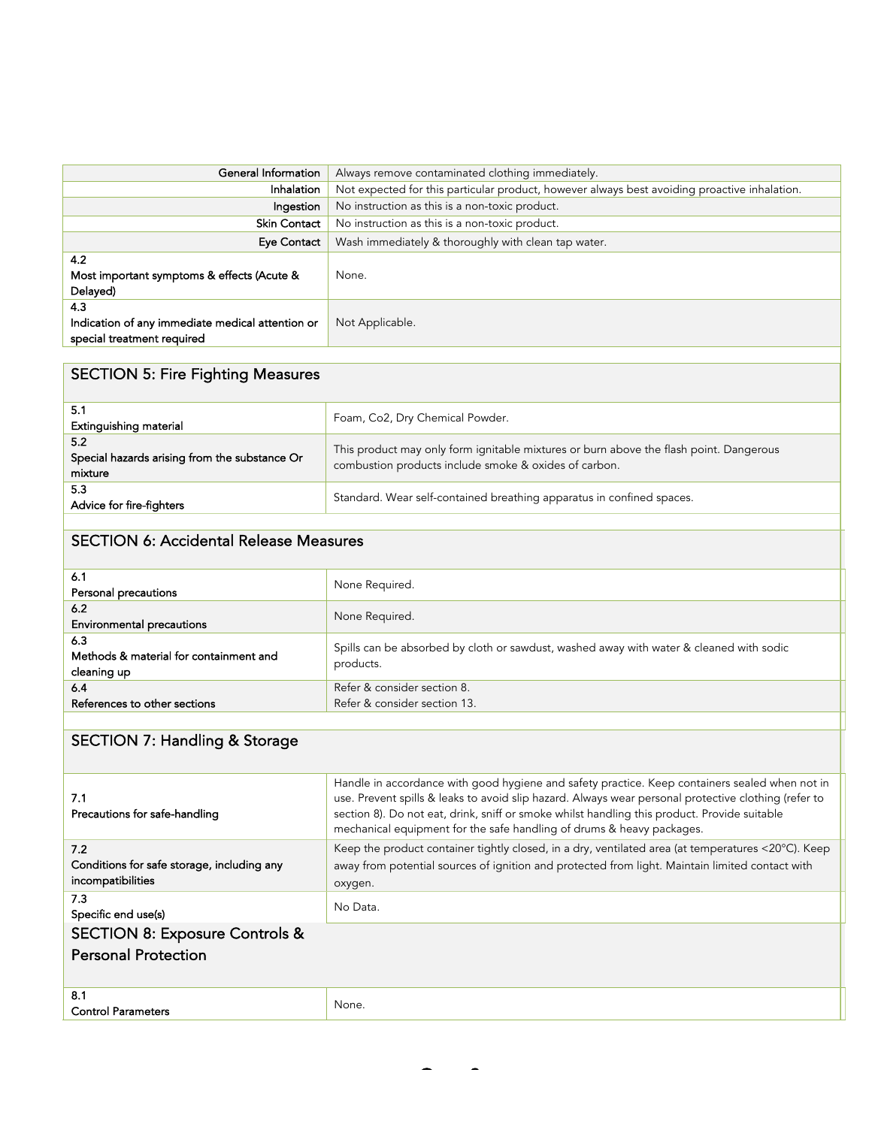| General Information<br>Always remove contaminated clothing immediately.               |                                                                                              |  |
|---------------------------------------------------------------------------------------|----------------------------------------------------------------------------------------------|--|
| Inhalation                                                                            | Not expected for this particular product, however always best avoiding proactive inhalation. |  |
| Ingestion                                                                             | No instruction as this is a non-toxic product.                                               |  |
| Skin Contact                                                                          | No instruction as this is a non-toxic product.                                               |  |
| <b>Eye Contact</b>                                                                    | Wash immediately & thoroughly with clean tap water.                                          |  |
| 4.2<br>Most important symptoms & effects (Acute &<br>Delayed)                         | None.                                                                                        |  |
| 4.3<br>Indication of any immediate medical attention or<br>special treatment required | Not Applicable.                                                                              |  |

### SECTION 5: Fire Fighting Measures

| 5.1<br>Extinguishing material                                   | Foam, Co2, Dry Chemical Powder.                                                                                                                 |
|-----------------------------------------------------------------|-------------------------------------------------------------------------------------------------------------------------------------------------|
| 5.2<br>Special hazards arising from the substance Or<br>mixture | This product may only form ignitable mixtures or burn above the flash point. Dangerous<br>combustion products include smoke & oxides of carbon. |
| 5.3<br>Advice for fire-fighters                                 | Standard. Wear self-contained breathing apparatus in confined spaces.                                                                           |

#### SECTION 6: Accidental Release Measures

| 6.1                                    | None Required.                                                                          |  |
|----------------------------------------|-----------------------------------------------------------------------------------------|--|
| Personal precautions                   |                                                                                         |  |
| 6.2                                    | None Required.                                                                          |  |
| <b>Environmental precautions</b>       |                                                                                         |  |
| 6.3                                    | Spills can be absorbed by cloth or sawdust, washed away with water & cleaned with sodic |  |
| Methods & material for containment and | products.                                                                               |  |
| cleaning up                            |                                                                                         |  |
| 6.4                                    | Refer & consider section 8.                                                             |  |
| References to other sections           | Refer & consider section 13.                                                            |  |
|                                        |                                                                                         |  |

# SECTION 7: Handling & Storage

| 7.1<br>Precautions for safe-handling       | Handle in accordance with good hygiene and safety practice. Keep containers sealed when not in<br>use. Prevent spills & leaks to avoid slip hazard. Always wear personal protective clothing (refer to<br>section 8). Do not eat, drink, sniff or smoke whilst handling this product. Provide suitable<br>mechanical equipment for the safe handling of drums & heavy packages. |  |
|--------------------------------------------|---------------------------------------------------------------------------------------------------------------------------------------------------------------------------------------------------------------------------------------------------------------------------------------------------------------------------------------------------------------------------------|--|
| 7.2                                        | Keep the product container tightly closed, in a dry, ventilated area (at temperatures <20°C). Keep                                                                                                                                                                                                                                                                              |  |
| Conditions for safe storage, including any | away from potential sources of ignition and protected from light. Maintain limited contact with                                                                                                                                                                                                                                                                                 |  |
| incompatibilities                          | oxygen.                                                                                                                                                                                                                                                                                                                                                                         |  |
| 7.3                                        |                                                                                                                                                                                                                                                                                                                                                                                 |  |
| Specific end use(s)                        | No Data.                                                                                                                                                                                                                                                                                                                                                                        |  |
| <b>SECTION 8: Exposure Controls &amp;</b>  |                                                                                                                                                                                                                                                                                                                                                                                 |  |
| <b>Personal Protection</b>                 |                                                                                                                                                                                                                                                                                                                                                                                 |  |
|                                            |                                                                                                                                                                                                                                                                                                                                                                                 |  |
| 8.1                                        |                                                                                                                                                                                                                                                                                                                                                                                 |  |
| <b>Control Parameters</b>                  | None.                                                                                                                                                                                                                                                                                                                                                                           |  |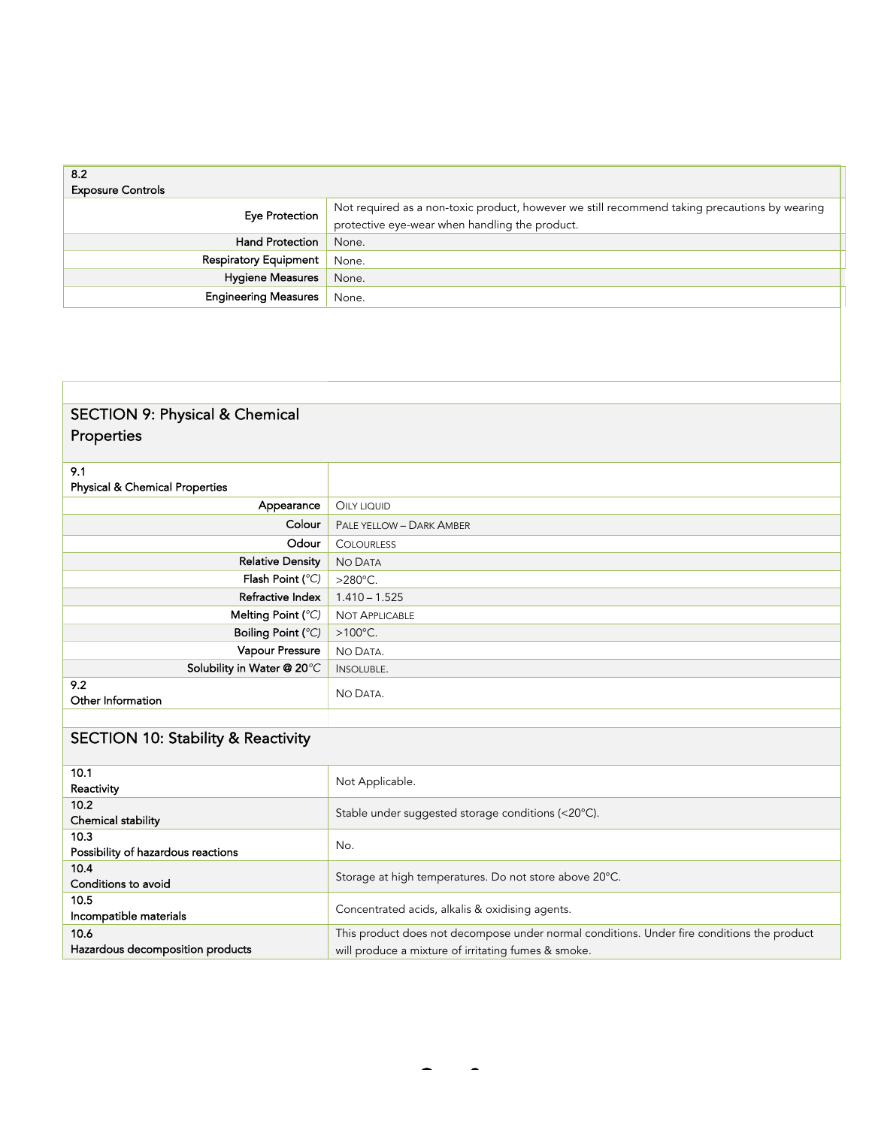| 8.2<br><b>Exposure Controls</b> |                                                                                                                                                 |
|---------------------------------|-------------------------------------------------------------------------------------------------------------------------------------------------|
| Eye Protection                  | Not required as a non-toxic product, however we still recommend taking precautions by wearing<br>protective eye-wear when handling the product. |
| <b>Hand Protection</b>          | None.                                                                                                                                           |
| <b>Respiratory Equipment</b>    | None.                                                                                                                                           |
| <b>Hygiene Measures</b>         | None.                                                                                                                                           |
| <b>Engineering Measures</b>     | None.                                                                                                                                           |

### SECTION 9: Physical & Chemical Properties

| 9.1<br><b>Physical &amp; Chemical Properties</b> |                          |
|--------------------------------------------------|--------------------------|
| Appearance                                       | OILY LIQUID              |
| Colour                                           | PALE YELLOW - DARK AMBER |
| Odour                                            | <b>COLOURLESS</b>        |
| <b>Relative Density</b>                          | NO DATA                  |
| Flash Point (°C)                                 | $>280^{\circ}$ C.        |
| Refractive Index                                 | $1.410 - 1.525$          |
| Melting Point $(^{\circ}C)$                      | <b>NOT APPLICABLE</b>    |
| Boiling Point (°C)                               | $>100^{\circ}$ C.        |
| Vapour Pressure                                  | NO DATA.                 |
| Solubility in Water @ 20°C                       | INSOLUBLE.               |
| 9.2<br>Other Information                         | NO DATA.                 |
|                                                  |                          |

# SECTION 10: Stability & Reactivity

| 10.1                               | Not Applicable.                                                                            |  |
|------------------------------------|--------------------------------------------------------------------------------------------|--|
| Reactivity                         |                                                                                            |  |
| 10.2 <sub>1</sub>                  |                                                                                            |  |
| Chemical stability                 | Stable under suggested storage conditions (<20°C).                                         |  |
| 10.3                               |                                                                                            |  |
| Possibility of hazardous reactions | No.                                                                                        |  |
| 10.4                               |                                                                                            |  |
| Conditions to avoid                | Storage at high temperatures. Do not store above 20°C.                                     |  |
| 10.5                               |                                                                                            |  |
| Incompatible materials             | Concentrated acids, alkalis & oxidising agents.                                            |  |
| 10.6                               | This product does not decompose under normal conditions. Under fire conditions the product |  |
| Hazardous decomposition products   | will produce a mixture of irritating fumes & smoke.                                        |  |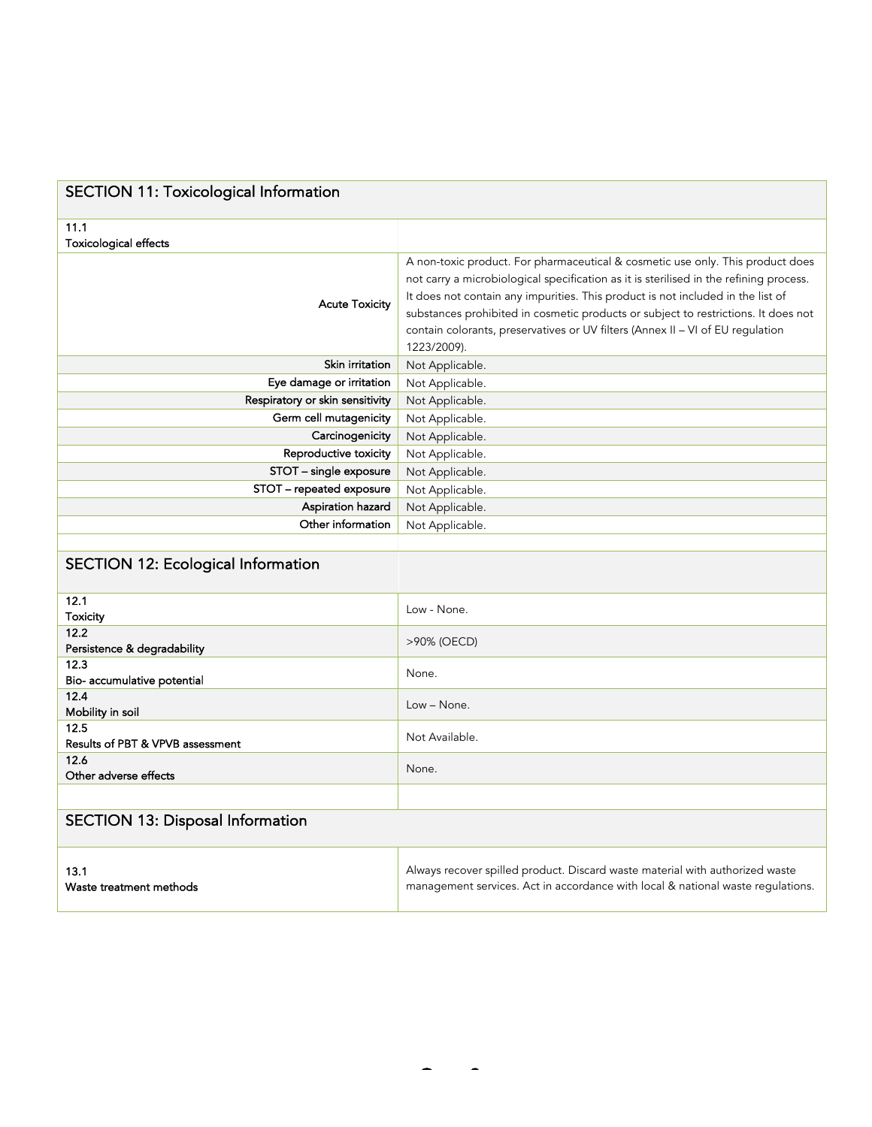| <b>SECTION 11: Toxicological Information</b> |                                                                                                                                                                                                                                                                                                                                                                                                                                                    |  |
|----------------------------------------------|----------------------------------------------------------------------------------------------------------------------------------------------------------------------------------------------------------------------------------------------------------------------------------------------------------------------------------------------------------------------------------------------------------------------------------------------------|--|
| 11.1<br><b>Toxicological effects</b>         |                                                                                                                                                                                                                                                                                                                                                                                                                                                    |  |
| <b>Acute Toxicity</b>                        | A non-toxic product. For pharmaceutical & cosmetic use only. This product does<br>not carry a microbiological specification as it is sterilised in the refining process.<br>It does not contain any impurities. This product is not included in the list of<br>substances prohibited in cosmetic products or subject to restrictions. It does not<br>contain colorants, preservatives or UV filters (Annex II - VI of EU regulation<br>1223/2009). |  |
| Skin irritation                              | Not Applicable.                                                                                                                                                                                                                                                                                                                                                                                                                                    |  |
| Eye damage or irritation                     | Not Applicable.                                                                                                                                                                                                                                                                                                                                                                                                                                    |  |
| Respiratory or skin sensitivity              | Not Applicable.                                                                                                                                                                                                                                                                                                                                                                                                                                    |  |
| Germ cell mutagenicity                       | Not Applicable.                                                                                                                                                                                                                                                                                                                                                                                                                                    |  |
| Carcinogenicity                              | Not Applicable.                                                                                                                                                                                                                                                                                                                                                                                                                                    |  |
| Reproductive toxicity                        | Not Applicable.                                                                                                                                                                                                                                                                                                                                                                                                                                    |  |
| STOT - single exposure                       | Not Applicable.                                                                                                                                                                                                                                                                                                                                                                                                                                    |  |
| STOT - repeated exposure                     | Not Applicable.                                                                                                                                                                                                                                                                                                                                                                                                                                    |  |
| Aspiration hazard                            | Not Applicable.                                                                                                                                                                                                                                                                                                                                                                                                                                    |  |
| Other information                            | Not Applicable.                                                                                                                                                                                                                                                                                                                                                                                                                                    |  |
| <b>SECTION 12: Ecological Information</b>    |                                                                                                                                                                                                                                                                                                                                                                                                                                                    |  |
| 12.1<br><b>Toxicity</b>                      | Low - None.                                                                                                                                                                                                                                                                                                                                                                                                                                        |  |
| 12.2<br>Persistence & degradability          | >90% (OECD)                                                                                                                                                                                                                                                                                                                                                                                                                                        |  |
| 12.3<br>Bio- accumulative potential          | None.                                                                                                                                                                                                                                                                                                                                                                                                                                              |  |
| 12.4<br>Mobility in soil                     | Low - None.                                                                                                                                                                                                                                                                                                                                                                                                                                        |  |
| 12.5<br>Results of PBT & VPVB assessment     | Not Available.                                                                                                                                                                                                                                                                                                                                                                                                                                     |  |
| 12.6<br>Other adverse effects                | None.                                                                                                                                                                                                                                                                                                                                                                                                                                              |  |
|                                              |                                                                                                                                                                                                                                                                                                                                                                                                                                                    |  |
| <b>SECTION 13: Disposal Information</b>      |                                                                                                                                                                                                                                                                                                                                                                                                                                                    |  |
| 13.1<br>Waste treatment methods              | Always recover spilled product. Discard waste material with authorized waste<br>management services. Act in accordance with local & national waste regulations.                                                                                                                                                                                                                                                                                    |  |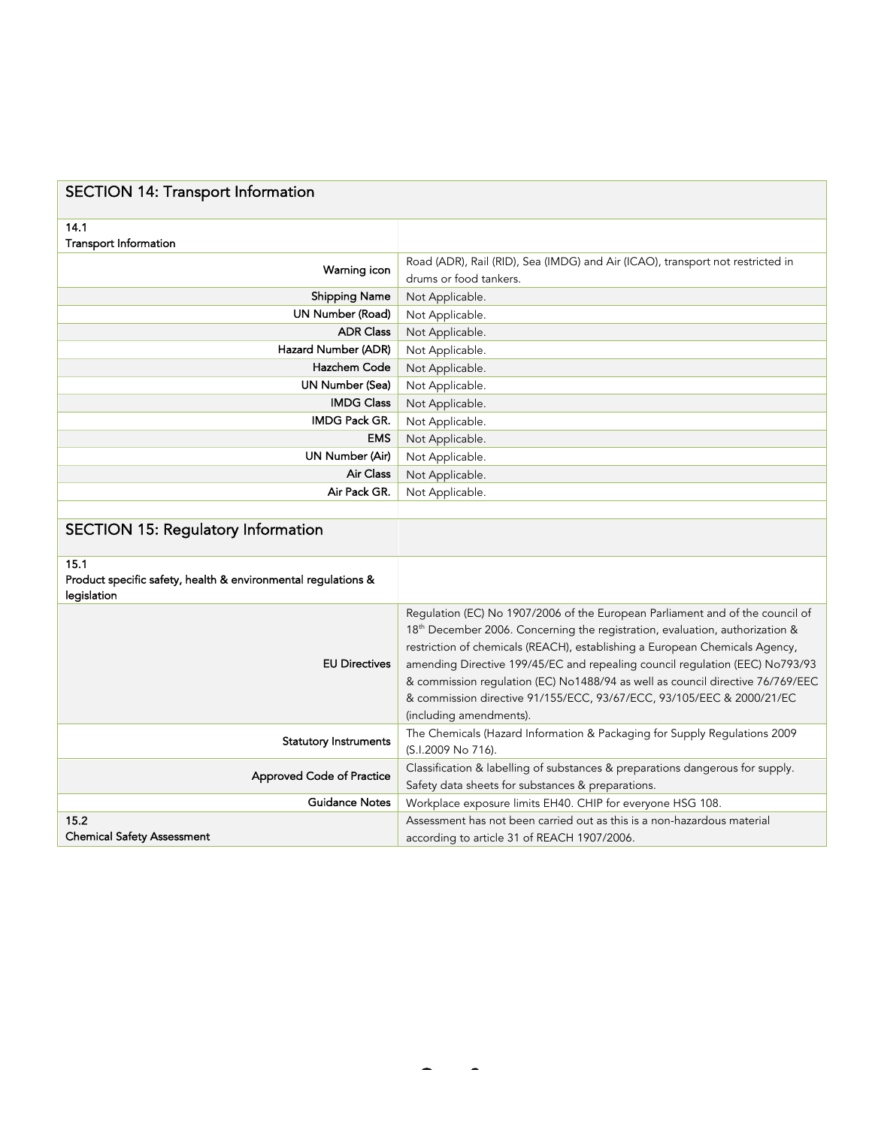| <b>SECTION 14: Transport Information</b>                                             |                                                                                                                                                                                                                                                                                                                                                                                                                                                                                                                                |
|--------------------------------------------------------------------------------------|--------------------------------------------------------------------------------------------------------------------------------------------------------------------------------------------------------------------------------------------------------------------------------------------------------------------------------------------------------------------------------------------------------------------------------------------------------------------------------------------------------------------------------|
| 14.1<br><b>Transport Information</b>                                                 |                                                                                                                                                                                                                                                                                                                                                                                                                                                                                                                                |
| Warning icon                                                                         | Road (ADR), Rail (RID), Sea (IMDG) and Air (ICAO), transport not restricted in<br>drums or food tankers.                                                                                                                                                                                                                                                                                                                                                                                                                       |
| <b>Shipping Name</b>                                                                 | Not Applicable.                                                                                                                                                                                                                                                                                                                                                                                                                                                                                                                |
| UN Number (Road)                                                                     | Not Applicable.                                                                                                                                                                                                                                                                                                                                                                                                                                                                                                                |
| <b>ADR Class</b>                                                                     | Not Applicable.                                                                                                                                                                                                                                                                                                                                                                                                                                                                                                                |
| Hazard Number (ADR)                                                                  | Not Applicable.                                                                                                                                                                                                                                                                                                                                                                                                                                                                                                                |
| Hazchem Code                                                                         | Not Applicable.                                                                                                                                                                                                                                                                                                                                                                                                                                                                                                                |
| UN Number (Sea)                                                                      | Not Applicable.                                                                                                                                                                                                                                                                                                                                                                                                                                                                                                                |
| <b>IMDG Class</b>                                                                    | Not Applicable.                                                                                                                                                                                                                                                                                                                                                                                                                                                                                                                |
| <b>IMDG Pack GR.</b>                                                                 | Not Applicable.                                                                                                                                                                                                                                                                                                                                                                                                                                                                                                                |
| <b>EMS</b>                                                                           | Not Applicable.                                                                                                                                                                                                                                                                                                                                                                                                                                                                                                                |
| UN Number (Air)                                                                      | Not Applicable.                                                                                                                                                                                                                                                                                                                                                                                                                                                                                                                |
| <b>Air Class</b>                                                                     | Not Applicable.                                                                                                                                                                                                                                                                                                                                                                                                                                                                                                                |
| Air Pack GR.                                                                         | Not Applicable.                                                                                                                                                                                                                                                                                                                                                                                                                                                                                                                |
|                                                                                      |                                                                                                                                                                                                                                                                                                                                                                                                                                                                                                                                |
| <b>SECTION 15: Regulatory Information</b>                                            |                                                                                                                                                                                                                                                                                                                                                                                                                                                                                                                                |
| 15.1<br>Product specific safety, health & environmental regulations &<br>legislation |                                                                                                                                                                                                                                                                                                                                                                                                                                                                                                                                |
| <b>EU Directives</b>                                                                 | Regulation (EC) No 1907/2006 of the European Parliament and of the council of<br>18 <sup>th</sup> December 2006. Concerning the registration, evaluation, authorization &<br>restriction of chemicals (REACH), establishing a European Chemicals Agency,<br>amending Directive 199/45/EC and repealing council regulation (EEC) No793/93<br>& commission regulation (EC) No1488/94 as well as council directive 76/769/EEC<br>& commission directive 91/155/ECC, 93/67/ECC, 93/105/EEC & 2000/21/EC<br>(including amendments). |
| <b>Statutory Instruments</b>                                                         | The Chemicals (Hazard Information & Packaging for Supply Regulations 2009<br>(S.I.2009 No 716).                                                                                                                                                                                                                                                                                                                                                                                                                                |
| <b>Approved Code of Practice</b>                                                     | Classification & labelling of substances & preparations dangerous for supply.<br>Safety data sheets for substances & preparations.                                                                                                                                                                                                                                                                                                                                                                                             |
| <b>Guidance Notes</b>                                                                | Workplace exposure limits EH40. CHIP for everyone HSG 108.                                                                                                                                                                                                                                                                                                                                                                                                                                                                     |
| 15.2<br><b>Chemical Safety Assessment</b>                                            | Assessment has not been carried out as this is a non-hazardous material<br>according to article 31 of REACH 1907/2006.                                                                                                                                                                                                                                                                                                                                                                                                         |